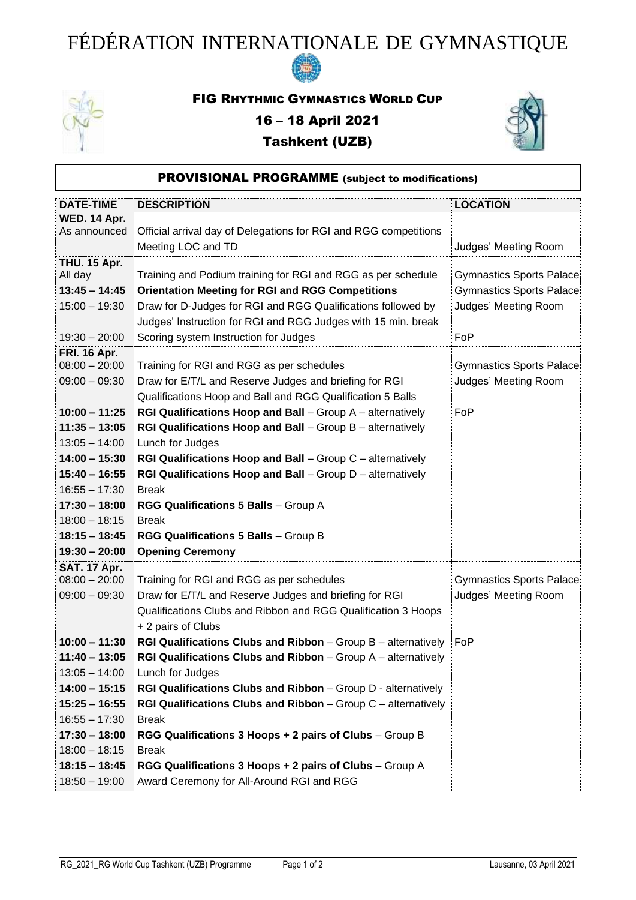## FÉDÉRATION INTERNATIONALE DE GYMNASTIQUE



## FIG RHYTHMIC GYMNASTICS WORLD CUP

## 16 – 18 April 2021





| <b>DESCRIPTION</b>                                                                                                                                                                                                                                                                                                                                                                                                                                                                                                                                                                                                                                           | <b>LOCATION</b>                                                                     |
|--------------------------------------------------------------------------------------------------------------------------------------------------------------------------------------------------------------------------------------------------------------------------------------------------------------------------------------------------------------------------------------------------------------------------------------------------------------------------------------------------------------------------------------------------------------------------------------------------------------------------------------------------------------|-------------------------------------------------------------------------------------|
| Official arrival day of Delegations for RGI and RGG competitions<br>Meeting LOC and TD                                                                                                                                                                                                                                                                                                                                                                                                                                                                                                                                                                       | Judges' Meeting Room                                                                |
| Training and Podium training for RGI and RGG as per schedule<br><b>Orientation Meeting for RGI and RGG Competitions</b><br>Draw for D-Judges for RGI and RGG Qualifications followed by<br>Judges' Instruction for RGI and RGG Judges with 15 min. break<br>Scoring system Instruction for Judges                                                                                                                                                                                                                                                                                                                                                            | Gymnastics Sports Palace<br>Gymnastics Sports Palace<br>Judges' Meeting Room<br>FoP |
| Training for RGI and RGG as per schedules<br>Draw for E/T/L and Reserve Judges and briefing for RGI<br>Qualifications Hoop and Ball and RGG Qualification 5 Balls<br>RGI Qualifications Hoop and Ball - Group A - alternatively<br>RGI Qualifications Hoop and Ball - Group B - alternatively<br>Lunch for Judges<br>RGI Qualifications Hoop and Ball - Group C - alternatively<br>RGI Qualifications Hoop and Ball - Group D - alternatively<br><b>Break</b><br>RGG Qualifications 5 Balls - Group A<br><b>Break</b><br>RGG Qualifications 5 Balls - Group B<br><b>Opening Ceremony</b>                                                                     | Gymnastics Sports Palace<br>Judges' Meeting Room<br>FoP                             |
| Training for RGI and RGG as per schedules<br>Draw for E/T/L and Reserve Judges and briefing for RGI<br>Qualifications Clubs and Ribbon and RGG Qualification 3 Hoops<br>+ 2 pairs of Clubs<br><b>RGI Qualifications Clubs and Ribbon</b> – Group B – alternatively<br>RGI Qualifications Clubs and Ribbon - Group A - alternatively<br>Lunch for Judges<br>RGI Qualifications Clubs and Ribbon - Group D - alternatively<br><b>RGI Qualifications Clubs and Ribbon</b> $-$ Group $C$ $-$ alternatively<br><b>Break</b><br>RGG Qualifications 3 Hoops + 2 pairs of Clubs - Group B<br><b>Break</b><br>RGG Qualifications 3 Hoops + 2 pairs of Clubs - Group A | Gymnastics Sports Palace<br>Judges' Meeting Room<br>FoP                             |
|                                                                                                                                                                                                                                                                                                                                                                                                                                                                                                                                                                                                                                                              | Award Ceremony for All-Around RGI and RGG                                           |